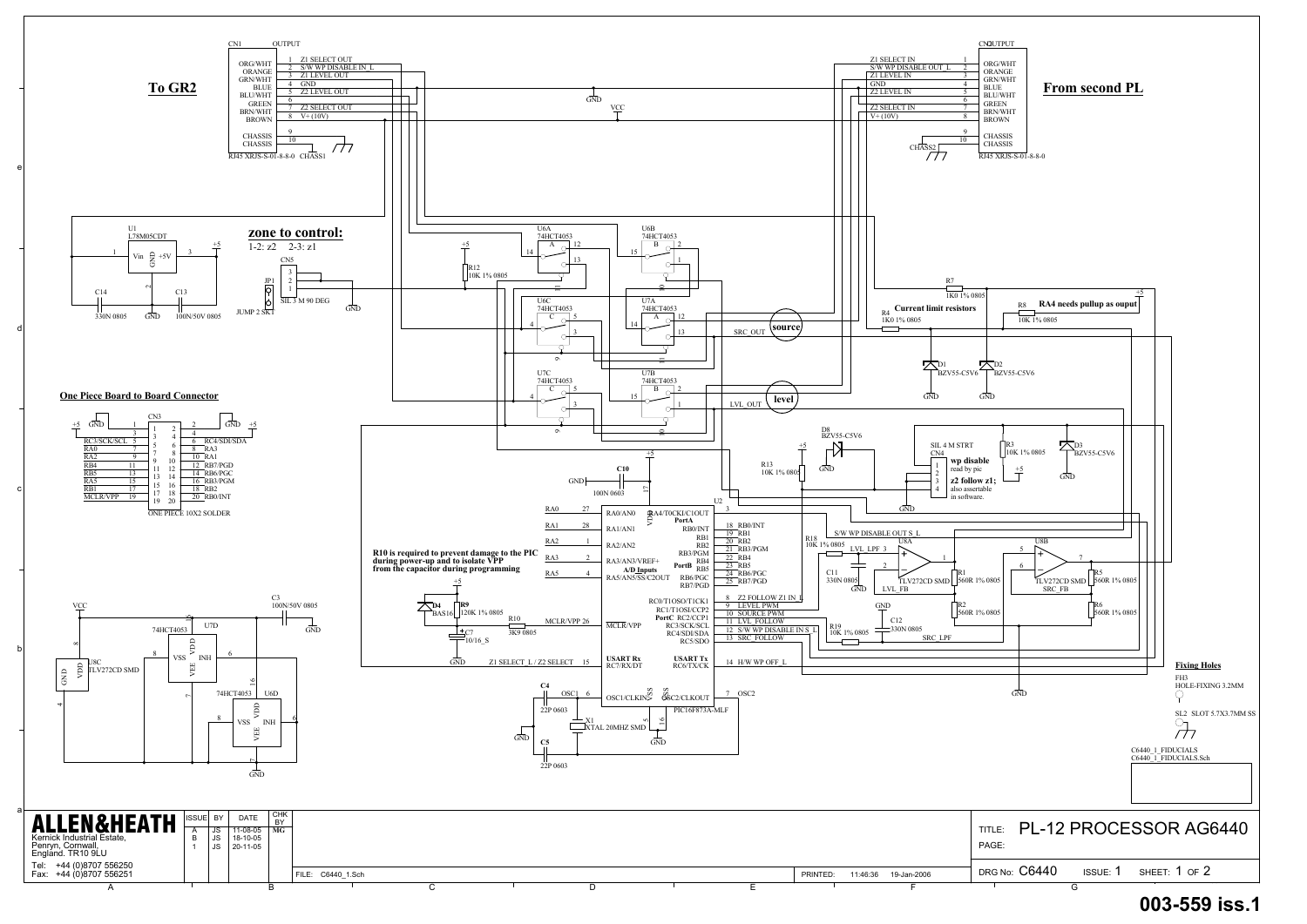a

b

c

d

e



## **003-559 iss.1**